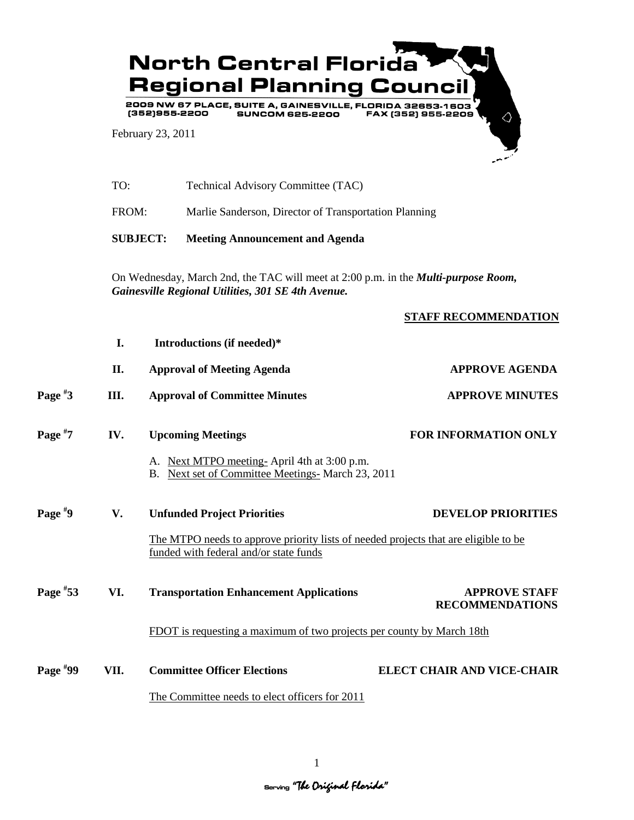

|            | TO:                                                                                                                                              | Technical Advisory Committee (TAC)                                                                                            |                                                |  |
|------------|--------------------------------------------------------------------------------------------------------------------------------------------------|-------------------------------------------------------------------------------------------------------------------------------|------------------------------------------------|--|
|            | FROM:                                                                                                                                            | Marlie Sanderson, Director of Transportation Planning                                                                         |                                                |  |
|            |                                                                                                                                                  | <b>SUBJECT:</b><br><b>Meeting Announcement and Agenda</b>                                                                     |                                                |  |
|            | On Wednesday, March 2nd, the TAC will meet at 2:00 p.m. in the <i>Multi-purpose Room</i> ,<br>Gainesville Regional Utilities, 301 SE 4th Avenue. |                                                                                                                               |                                                |  |
|            |                                                                                                                                                  |                                                                                                                               | STAFF RECOMMENDATION                           |  |
|            | I.                                                                                                                                               | Introductions (if needed)*                                                                                                    |                                                |  |
|            | II.                                                                                                                                              | <b>Approval of Meeting Agenda</b>                                                                                             | <b>APPROVE AGENDA</b>                          |  |
| Page $*3$  | Ш.                                                                                                                                               | <b>Approval of Committee Minutes</b>                                                                                          | <b>APPROVE MINUTES</b>                         |  |
| Page $*7$  | IV.                                                                                                                                              | <b>Upcoming Meetings</b>                                                                                                      | FOR INFORMATION ONLY                           |  |
|            |                                                                                                                                                  | A. Next MTPO meeting-April 4th at 3:00 p.m.<br>B. Next set of Committee Meetings- March 23, 2011                              |                                                |  |
| Page $*9$  | V.                                                                                                                                               | <b>Unfunded Project Priorities</b>                                                                                            | <b>DEVELOP PRIORITIES</b>                      |  |
|            |                                                                                                                                                  | The MTPO needs to approve priority lists of needed projects that are eligible to be<br>funded with federal and/or state funds |                                                |  |
| Page $*53$ | VI.                                                                                                                                              | <b>Transportation Enhancement Applications</b>                                                                                | <b>APPROVE STAFF</b><br><b>RECOMMENDATIONS</b> |  |
|            |                                                                                                                                                  | FDOT is requesting a maximum of two projects per county by March 18th                                                         |                                                |  |
| Page $*99$ | VII.                                                                                                                                             | <b>Committee Officer Elections</b>                                                                                            | <b>ELECT CHAIR AND VICE-CHAIR</b>              |  |